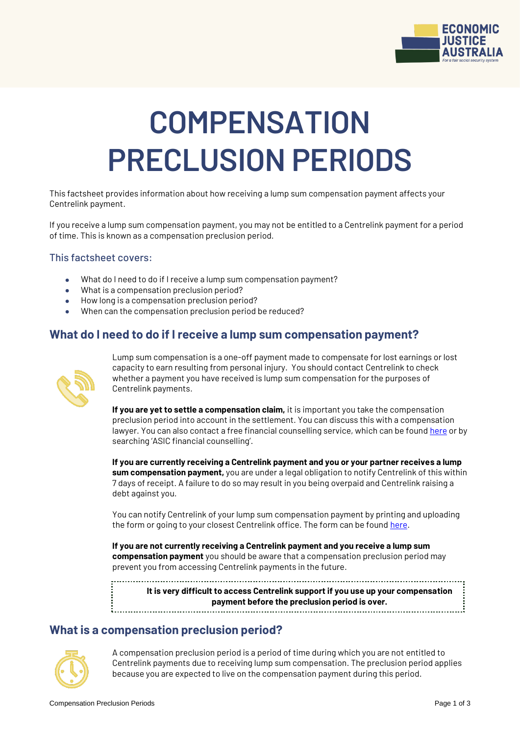

# **COMPENSATION PRECLUSION PERIODS**

This factsheet provides information about how receiving a lump sum compensation payment affects your Centrelink payment.

If you receive a lump sum compensation payment, you may not be entitled to a Centrelink payment for a period of time. This is known as a compensation preclusion period.

#### This factsheet covers:

- What do I need to do if I receive a lump sum compensation payment?
- What is a compensation preclusion period?
- How long is a compensation preclusion period?
- When can the compensation preclusion period be reduced?

### **What do I need to do if I receive a lump sum compensation payment?**



Lump sum compensation is a one-off payment made to compensate for lost earnings or lost capacity to earn resulting from personal injury. You should contact Centrelink to check whether a payment you have received is lump sum compensation for the purposes of Centrelink payments.

**If you are yet to settle a compensation claim,** it is important you take the compensation preclusion period into account in the settlement. You can discuss this with a compensation lawyer. You can also contact a free financial counselling service, which can be foun[d here](https://www.moneysmart.gov.au/managing-your-money/managing-debts/financial-counselling#find) or by searching 'ASIC financial counselling'.

**If you are currently receiving a Centrelink payment and you or your partner receives a lump sum compensation payment,** you are under a legal obligation to notify Centrelink of this within 7 days of receipt. A failure to do so may result in you being overpaid and Centrelink raising a debt against you.

You can notify Centrelink of your lump sum compensation payment by printing and uploading the form or going to your closest Centrelink office. The form can be found [here.](https://www.humanservices.gov.au/individuals/forms/mod-c)

**If you are not currently receiving a Centrelink payment and you receive a lump sum compensation payment** you should be aware that a compensation preclusion period may prevent you from accessing Centrelink payments in the future.

**It is very difficult to access Centrelink support if you use up your compensation payment before the preclusion period is over.**

## **What is a compensation preclusion period?**



A compensation preclusion period is a period of time during which you are not entitled to Centrelink payments due to receiving lump sum compensation. The preclusion period applies because you are expected to live on the compensation payment during this period.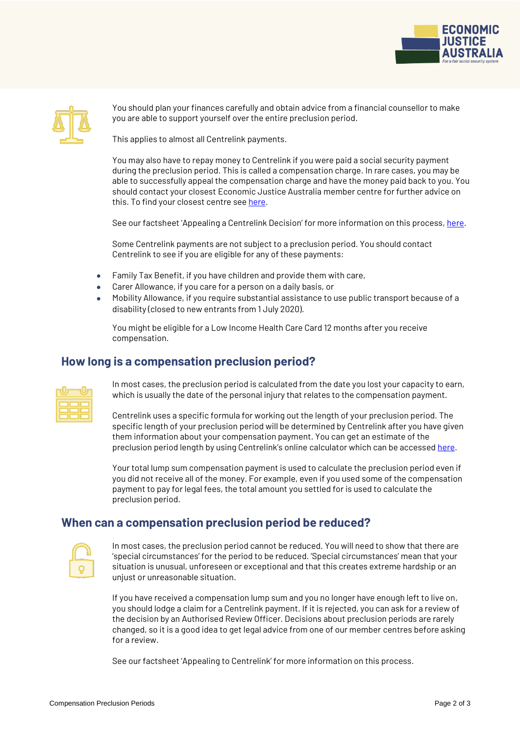



You should plan your finances carefully and obtain advice from a financial counsellor to make you are able to support yourself over the entire preclusion period.

This applies to almost all Centrelink payments.

You may also have to repay money to Centrelink if you were paid a social security payment during the preclusion period. This is called a compensation charge. In rare cases, you may be able to successfully appeal the compensation charge and have the money paid back to you. You should contact your closest Economic Justice Australia member centre for further advice on this. To find your closest centre se[e here.](https://www.ejaustralia.org.au/wp/legal-help-centrelink/)

See our factsheet 'Appealing a Centrelink Decision' for more information on this process, [here.](https://www.ejaustralia.org.au/wp/self-help/)

Some Centrelink payments are not subject to a preclusion period. You should contact Centrelink to see if you are eligible for any of these payments:

- Family Tax Benefit, if you have children and provide them with care,
- Carer Allowance, if you care for a person on a daily basis, or
- Mobility Allowance, if you require substantial assistance to use public transport because of a disability (closed to new entrants from 1 July 2020).

You might be eligible for a Low Income Health Care Card 12 months after you receive compensation.

#### **How long is a compensation preclusion period?**

| __ | _____ |     |
|----|-------|-----|
| __ | __    | ___ |
|    |       |     |

In most cases, the preclusion period is calculated from the date you lost your capacity to earn, which is usually the date of the personal injury that relates to the compensation payment.

Centrelink uses a specific formula for working out the length of your preclusion period. The specific length of your preclusion period will be determined by Centrelink after you have given them information about your compensation payment. You can get an estimate of the preclusion period length by using Centrelink's online calculator which can be accesse[d here.](https://www.humanservices.gov.au/customer/enablers/compensation-estimator)

Your total lump sum compensation payment is used to calculate the preclusion period even if you did not receive all of the money. For example, even if you used some of the compensation payment to pay for legal fees, the total amount you settled for is used to calculate the preclusion period.

#### **When can a compensation preclusion period be reduced?**

In most cases, the preclusion period cannot be reduced. You will need to show that there are 'special circumstances' for the period to be reduced. 'Special circumstances' mean that your situation is unusual, unforeseen or exceptional and that this creates extreme hardship or an unjust or unreasonable situation.

If you have received a compensation lump sum and you no longer have enough left to live on, you should lodge a claim for a Centrelink payment. If it is rejected, you can ask for a review of the decision by an Authorised Review Officer. Decisions about preclusion periods are rarely changed, so it is a good idea to get legal advice from one of our member centres before asking for a review.

See our factsheet 'Appealing to Centrelink' for more information on this process.